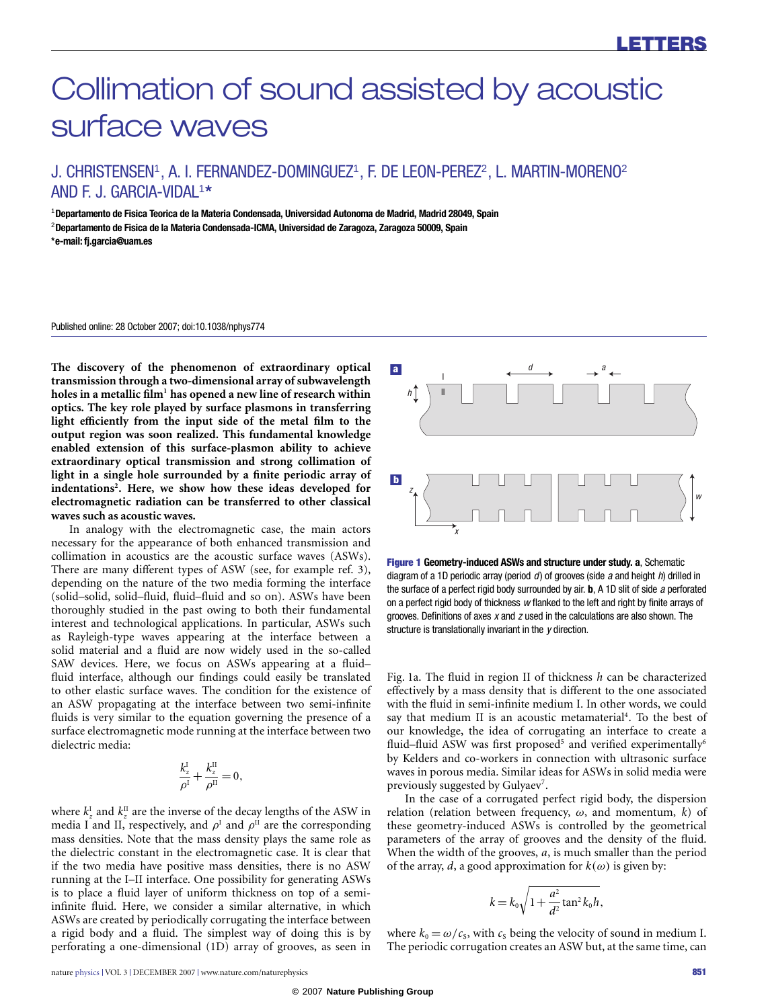# Collimation of sound assisted by acoustic surface waves

## J. CHRISTENSEN<sup>1</sup>, A. I. FERNANDEZ-DOMINGUEZ<sup>1</sup>, F. DE LEON-PEREZ<sup>2</sup>, L. MARTIN-MORENO<sup>2</sup> AND F. J. GARCIA-VIDAL<sup>1</sup> **\***

<sup>1</sup>**Departamento de Fisica Teorica de la Materia Condensada, Universidad Autonoma de Madrid, Madrid 28049, Spain** <sup>2</sup>**Departamento de Fisica de la Materia Condensada-ICMA, Universidad de Zaragoza, Zaragoza 50009, Spain \*e-mail: [fj.garcia@uam.es](mailto:fj.garcia@uam.es)**

Published online: 28 October 2007; doi[:10.1038/nphys774](http://www.nature.com/doifinder/10.1038/nphys774)

**The discovery of the phenomenon of extraordinary optical transmission through a two-dimensional array of subwavelength holes in a metallic film[1](#page-1-0) has opened a new line of research within optics. The key role played by surface plasmons in transferring** light efficiently from the input side of the metal film to the **output region was soon realized. This fundamental knowledge enabled extension of this surface-plasmon ability to achieve extraordinary optical transmission and strong collimation of light in a single hole surrounded by a finite periodic array of indentations[2](#page-1-1) . Here, we show how these ideas developed for electromagnetic radiation can be transferred to other classical waves such as acoustic waves.**

In analogy with the electromagnetic case, the main actors necessary for the appearance of both enhanced transmission and collimation in acoustics are the acoustic surface waves (ASWs). There are many different types of ASW (see, for example ref. [3\)](#page-1-2), depending on the nature of the two media forming the interface (solid–solid, solid–fluid, fluid–fluid and so on). ASWs have been thoroughly studied in the past owing to both their fundamental interest and technological applications. In particular, ASWs such as Rayleigh-type waves appearing at the interface between a solid material and a fluid are now widely used in the so-called SAW devices. Here, we focus on ASWs appearing at a fluid– fluid interface, although our findings could easily be translated to other elastic surface waves. The condition for the existence of an ASW propagating at the interface between two semi-infinite fluids is very similar to the equation governing the presence of a surface electromagnetic mode running at the interface between two dielectric media:

$$
\frac{k_z^{\rm I}}{\rho^{\rm I}} + \frac{k_z^{\rm II}}{\rho^{\rm II}} = 0,
$$

where  $k_z^{\text{I}}$  and  $k_z^{\text{II}}$  are the inverse of the decay lengths of the ASW in media I and II, respectively, and  $\rho^{\text{I}}$  and  $\rho^{\text{II}}$  are the corresponding mass densities. Note that the mass density plays the same role as the dielectric constant in the electromagnetic case. It is clear that if the two media have positive mass densities, there is no ASW running at the I–II interface. One possibility for generating ASWs is to place a fluid layer of uniform thickness on top of a semiinfinite fluid. Here, we consider a similar alternative, in which ASWs are created by periodically corrugating the interface between a rigid body and a fluid. The simplest way of doing this is by perforating a one-dimensional (1D) array of grooves, as seen in



<span id="page-0-0"></span>Figure 1 **Geometry-induced ASWs and structure under study. a**, Schematic diagram of a 1D periodic array (period  $d$ ) of grooves (side a and height  $h$ ) drilled in the surface of a perfect rigid body surrounded by air. **b**, A 1D slit of side a perforated on a perfect rigid body of thickness w flanked to the left and right by finite arrays of grooves. Definitions of axes  $x$  and  $z$  used in the calculations are also shown. The structure is translationally invariant in the y direction.

[Fig.](#page-0-0) [1a](#page-0-0). The fluid in region II of thickness *h* can be characterized effectively by a mass density that is different to the one associated with the fluid in semi-infinite medium I. In other words, we could say that medium II is an acoustic metamaterial<sup>[4](#page-1-3)</sup>. To the best of our knowledge, the idea of corrugating an interface to create a fluid–fluid ASW was first proposed<sup>[5](#page-1-4)</sup> and verified experimentally<sup>[6](#page-1-5)</sup> by Kelders and co-workers in connection with ultrasonic surface waves in porous media. Similar ideas for ASWs in solid media were previously suggested by Gulyaev<sup>[7](#page-1-6)</sup>.

In the case of a corrugated perfect rigid body, the dispersion relation (relation between frequency, ω, and momentum, *k*) of these geometry-induced ASWs is controlled by the geometrical parameters of the array of grooves and the density of the fluid. When the width of the grooves, *a*, is much smaller than the period of the array, *d*, a good approximation for  $k(\omega)$  is given by:

$$
k = k_0 \sqrt{1 + \frac{a^2}{d^2} \tan^2 k_0 h},
$$

where  $k_0 = \omega/c_s$ , with  $c_s$  being the velocity of sound in medium I. The periodic corrugation creates an ASW but, at the same time, can